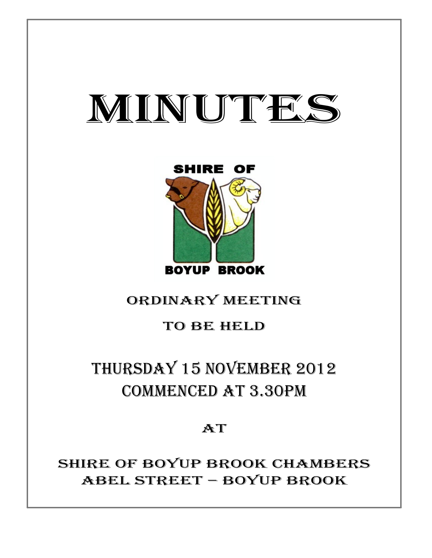# MINUTES



# ORDINARY MEETING

## TO BE HELD

# THURSDAY 15 NOVEMBER 2012 COMMENCED AT 3.30PM

AT

SHIRE OF BOYUP BROOK CHAMBERS ABEL STREET – BOYUP BROOK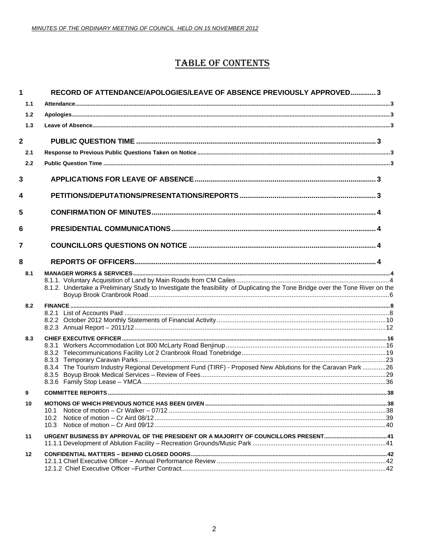### **TABLE OF CONTENTS**

| 1                       | RECORD OF ATTENDANCE/APOLOGIES/LEAVE OF ABSENCE PREVIOUSLY APPROVED 3                                                         |  |
|-------------------------|-------------------------------------------------------------------------------------------------------------------------------|--|
| 1.1                     |                                                                                                                               |  |
| 1.2                     |                                                                                                                               |  |
| 1.3                     |                                                                                                                               |  |
| $\overline{\mathbf{2}}$ |                                                                                                                               |  |
| 2.1                     |                                                                                                                               |  |
| 2.2                     |                                                                                                                               |  |
| 3                       |                                                                                                                               |  |
| 4                       |                                                                                                                               |  |
| 5                       |                                                                                                                               |  |
| 6                       |                                                                                                                               |  |
| 7                       |                                                                                                                               |  |
| 8                       |                                                                                                                               |  |
| 8.1                     | 8.1.2. Undertake a Preliminary Study to Investigate the feasibility of Duplicating the Tone Bridge over the Tone River on the |  |
| 8.2                     |                                                                                                                               |  |
|                         |                                                                                                                               |  |
|                         |                                                                                                                               |  |
| 8.3                     |                                                                                                                               |  |
|                         |                                                                                                                               |  |
|                         |                                                                                                                               |  |
|                         | 8.3.4 The Tourism Industry Regional Development Fund (TIRF) - Proposed New Ablutions for the Caravan Park 26                  |  |
|                         |                                                                                                                               |  |
| 9                       |                                                                                                                               |  |
| 10                      |                                                                                                                               |  |
|                         | 10.1<br>10.2 <sub>1</sub>                                                                                                     |  |
|                         | 10.3                                                                                                                          |  |
| 11                      |                                                                                                                               |  |
| 12                      |                                                                                                                               |  |
|                         |                                                                                                                               |  |
|                         |                                                                                                                               |  |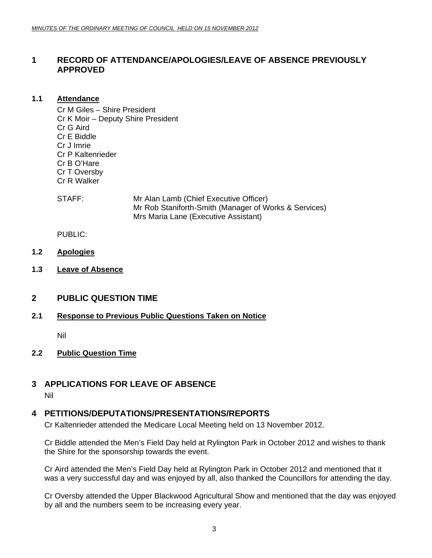#### <span id="page-2-0"></span>**1 RECORD OF ATTENDANCE/APOLOGIES/LEAVE OF ABSENCE PREVIOUSLY APPROVED**

#### **1.1 Attendance**

Cr M Giles – Shire President Cr K Moir – Deputy Shire President Cr G Aird Cr E Biddle Cr J Imrie Cr P Kaltenrieder Cr B O'Hare Cr T Oversby Cr R Walker

STAFF: Mr Alan Lamb (Chief Executive Officer) Mr Rob Staniforth-Smith (Manager of Works & Services) Mrs Maria Lane (Executive Assistant)

PUBLIC:

- **1.2 Apologies**
- **1.3 Leave of Absence**

#### **2 PUBLIC QUESTION TIME**

#### **2.1 Response to Previous Public Questions Taken on Notice**

Nil

#### **2.2 Public Question Time**

#### **3 APPLICATIONS FOR LEAVE OF ABSENCE**

Nil

#### **4 PETITIONS/DEPUTATIONS/PRESENTATIONS/REPORTS**

Cr Kaltenrieder attended the Medicare Local Meeting held on 13 November 2012.

Cr Biddle attended the Men's Field Day held at Rylington Park in October 2012 and wishes to thank the Shire for the sponsorship towards the event.

Cr Aird attended the Men's Field Day held at Rylington Park in October 2012 and mentioned that it was a very successful day and was enjoyed by all, also thanked the Councillors for attending the day.

Cr Oversby attended the Upper Blackwood Agricultural Show and mentioned that the day was enjoyed by all and the numbers seem to be increasing every year.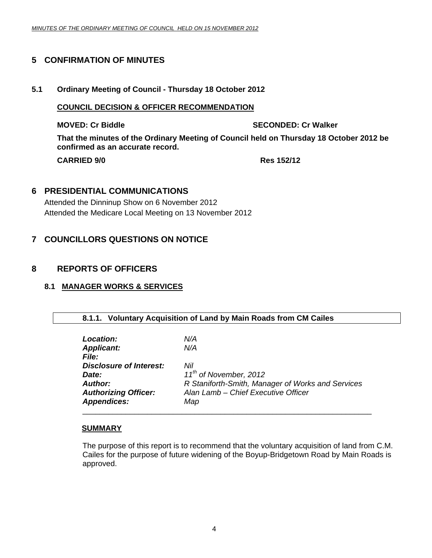#### <span id="page-3-0"></span>**5 CONFIRMATION OF MINUTES**

#### **5.1 Ordinary Meeting of Council - Thursday 18 October 2012**

#### **COUNCIL DECISION & OFFICER RECOMMENDATION**

**MOVED: Cr Biddle SECONDED: Cr Walker All Cr Walker SECONDED: Cr Walker** 

**That the minutes of the Ordinary Meeting of Council held on Thursday 18 October 2012 be confirmed as an accurate record.** 

**CARRIED 9/0 Res 152/12** 

#### **6 PRESIDENTIAL COMMUNICATIONS**

Attended the Dinninup Show on 6 November 2012 Attended the Medicare Local Meeting on 13 November 2012

#### **7 COUNCILLORS QUESTIONS ON NOTICE**

#### **8 REPORTS OF OFFICERS**

#### **8.1 MANAGER WORKS & SERVICES**

#### **8.1.1. Voluntary Acquisition of Land by Main Roads from CM Cailes**

| Location:                      | N/A                                               |
|--------------------------------|---------------------------------------------------|
| <b>Applicant:</b>              | N/A                                               |
| <i>File:</i>                   |                                                   |
| <b>Disclosure of Interest:</b> | Nil                                               |
| Date:                          | 11 <sup>th</sup> of November, 2012                |
| <b>Author:</b>                 | R Staniforth-Smith, Manager of Works and Services |
| <b>Authorizing Officer:</b>    | Alan Lamb - Chief Executive Officer               |
| <b>Appendices:</b>             | Map                                               |
|                                |                                                   |

#### **SUMMARY**

The purpose of this report is to recommend that the voluntary acquisition of land from C.M. Cailes for the purpose of future widening of the Boyup-Bridgetown Road by Main Roads is approved.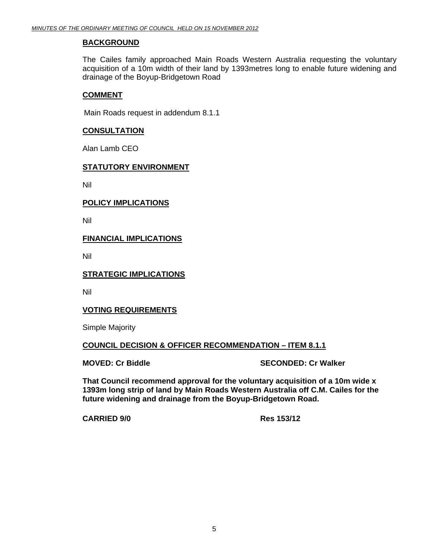#### **BACKGROUND**

The Cailes family approached Main Roads Western Australia requesting the voluntary acquisition of a 10m width of their land by 1393metres long to enable future widening and drainage of the Boyup-Bridgetown Road

#### **COMMENT**

Main Roads request in addendum 8.1.1

#### **CONSULTATION**

Alan Lamb CEO

#### **STATUTORY ENVIRONMENT**

Nil

#### **POLICY IMPLICATIONS**

Nil

#### **FINANCIAL IMPLICATIONS**

Nil

#### **STRATEGIC IMPLICATIONS**

Nil

#### **VOTING REQUIREMENTS**

Simple Majority

#### **COUNCIL DECISION & OFFICER RECOMMENDATION – ITEM 8.1.1**

**MOVED: Cr Biddle SECONDED: Cr Walker SECONDED: Cr Walker** 

**That Council recommend approval for the voluntary acquisition of a 10m wide x 1393m long strip of land by Main Roads Western Australia off C.M. Cailes for the future widening and drainage from the Boyup-Bridgetown Road.** 

**CARRIED 9/0 Res 153/12**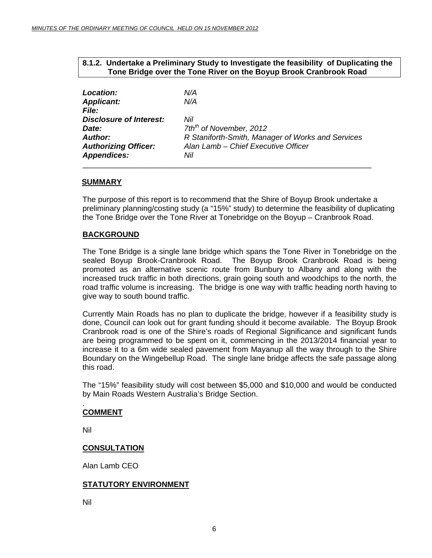#### **8.1.2. Undertake a Preliminary Study to Investigate the feasibility of Duplicating the Tone Bridge over the Tone River on the Boyup Brook Cranbrook Road**

<span id="page-5-0"></span>

| <b>Location:</b>               | N/A                                               |
|--------------------------------|---------------------------------------------------|
| <b>Applicant:</b>              | N/A                                               |
| <i>File:</i>                   |                                                   |
| <b>Disclosure of Interest:</b> | Nil                                               |
| Date:                          | 7th <sup>th</sup> of November, 2012               |
| <b>Author:</b>                 | R Staniforth-Smith, Manager of Works and Services |
| <b>Authorizing Officer:</b>    | Alan Lamb - Chief Executive Officer               |
| <b>Appendices:</b>             | Nil                                               |
|                                |                                                   |

#### **SUMMARY**

The purpose of this report is to recommend that the Shire of Boyup Brook undertake a preliminary planning/costing study (a "15%" study) to determine the feasibility of duplicating the Tone Bridge over the Tone River at Tonebridge on the Boyup – Cranbrook Road.

#### **BACKGROUND**

The Tone Bridge is a single lane bridge which spans the Tone River in Tonebridge on the sealed Boyup Brook-Cranbrook Road. The Boyup Brook Cranbrook Road is being promoted as an alternative scenic route from Bunbury to Albany and along with the increased truck traffic in both directions, grain going south and woodchips to the north, the road traffic volume is increasing. The bridge is one way with traffic heading north having to give way to south bound traffic.

Currently Main Roads has no plan to duplicate the bridge, however if a feasibility study is done, Council can look out for grant funding should it become available. The Boyup Brook Cranbrook road is one of the Shire's roads of Regional Significance and significant funds are being programmed to be spent on it, commencing in the 2013/2014 financial year to increase it to a 6m wide sealed pavement from Mayanup all the way through to the Shire Boundary on the Wingebellup Road. The single lane bridge affects the safe passage along this road.

The "15%" feasibility study will cost between \$5,000 and \$10,000 and would be conducted by Main Roads Western Australia's Bridge Section.

#### . **COMMENT**

Nil

#### **CONSULTATION**

Alan Lamb CEO

#### **STATUTORY ENVIRONMENT**

Nil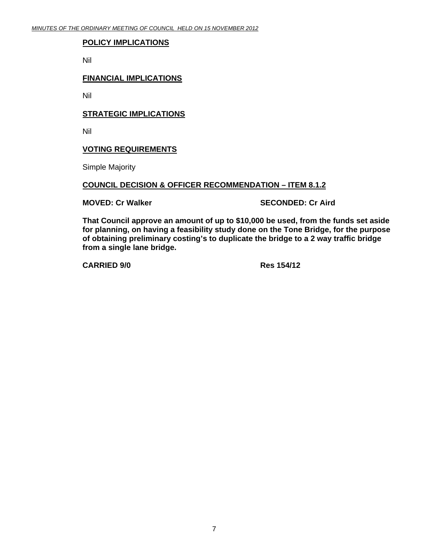#### **POLICY IMPLICATIONS**

Nil

#### **FINANCIAL IMPLICATIONS**

Nil

#### **STRATEGIC IMPLICATIONS**

Nil

#### **VOTING REQUIREMENTS**

Simple Majority

#### **COUNCIL DECISION & OFFICER RECOMMENDATION – ITEM 8.1.2**

**MOVED: Cr Walker SECONDED: Cr Aird 3DOVED: Cr Aird 3DOVED: Cr Aird 3DOVED: Cr Aird 3DOVED: Cr Aird 3DOVED: C** 

**That Council approve an amount of up to \$10,000 be used, from the funds set aside for planning, on having a feasibility study done on the Tone Bridge, for the purpose of obtaining preliminary costing's to duplicate the bridge to a 2 way traffic bridge from a single lane bridge.** 

**CARRIED 9/0 Res 154/12**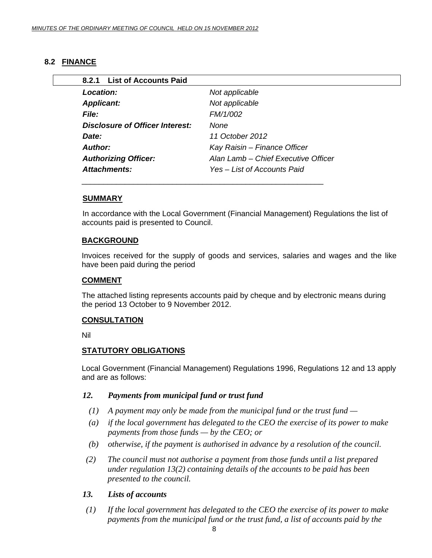### <span id="page-7-0"></span>**8.2 FINANCE**

| 8.2.1 List of Accounts Paid     |                                     |
|---------------------------------|-------------------------------------|
| <b>Location:</b>                | Not applicable                      |
| <b>Applicant:</b>               | Not applicable                      |
| <b>File:</b>                    | FM/1/002                            |
| Disclosure of Officer Interest: | None                                |
| Date:                           | 11 October 2012                     |
| Author:                         | Kay Raisin - Finance Officer        |
| <b>Authorizing Officer:</b>     | Alan Lamb – Chief Executive Officer |
| <b>Attachments:</b>             | Yes - List of Accounts Paid         |

#### **SUMMARY**

In accordance with the Local Government (Financial Management) Regulations the list of accounts paid is presented to Council.

#### **BACKGROUND**

Invoices received for the supply of goods and services, salaries and wages and the like have been paid during the period

#### **COMMENT**

The attached listing represents accounts paid by cheque and by electronic means during the period 13 October to 9 November 2012.

#### **CONSULTATION**

Nil

#### **STATUTORY OBLIGATIONS**

Local Government (Financial Management) Regulations 1996, Regulations 12 and 13 apply and are as follows:

#### *12. Payments from municipal fund or trust fund*

- *(1) A payment may only be made from the municipal fund or the trust fund*
- *(a) if the local government has delegated to the CEO the exercise of its power to make payments from those funds — by the CEO; or*
- *(b) otherwise, if the payment is authorised in advance by a resolution of the council.*
- *(2) The council must not authorise a payment from those funds until a list prepared under regulation 13(2) containing details of the accounts to be paid has been presented to the council.*

#### *13. Lists of accounts*

 *(1) If the local government has delegated to the CEO the exercise of its power to make payments from the municipal fund or the trust fund, a list of accounts paid by the*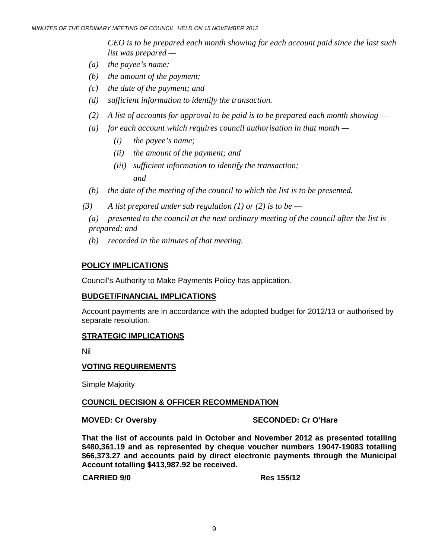*CEO is to be prepared each month showing for each account paid since the last such list was prepared —* 

- *(a) the payee's name;*
- *(b) the amount of the payment;*
- *(c) the date of the payment; and*
- *(d) sufficient information to identify the transaction.*
- *(2) A list of accounts for approval to be paid is to be prepared each month showing*
- *(a) for each account which requires council authorisation in that month* 
	- *(i) the payee's name;*
	- *(ii) the amount of the payment; and*
- *(iii) sufficient information to identify the transaction; and and* 
	- *(b) the date of the meeting of the council to which the list is to be presented.*
	- $(3)$  A list prepared under sub regulation (1) or (2) is to be —

 *(a) presented to the council at the next ordinary meeting of the council after the list is prepared; and* 

 *(b) recorded in the minutes of that meeting.* 

#### **POLICY IMPLICATIONS**

Council's Authority to Make Payments Policy has application.

#### **BUDGET/FINANCIAL IMPLICATIONS**

Account payments are in accordance with the adopted budget for 2012/13 or authorised by separate resolution.

#### **STRATEGIC IMPLICATIONS**

Nil

#### **VOTING REQUIREMENTS**

Simple Majority

#### **COUNCIL DECISION & OFFICER RECOMMENDATION**

**MOVED: Cr Oversby SECONDED: Cr O'Hare** 

**That the list of accounts paid in October and November 2012 as presented totalling \$480,361.19 and as represented by cheque voucher numbers 19047-19083 totalling \$66,373.27 and accounts paid by direct electronic payments through the Municipal Account totalling \$413,987.92 be received.** 

#### **CARRIED 9/0 Res 155/12**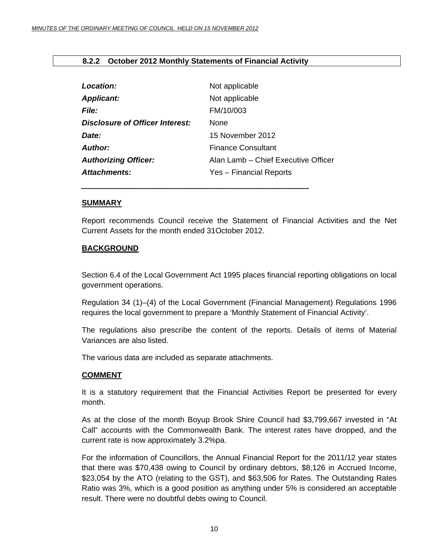#### <span id="page-9-0"></span>**8.2.2 October 2012 Monthly Statements of Financial Activity**

| Location:                              | Not applicable                      |
|----------------------------------------|-------------------------------------|
| <b>Applicant:</b>                      | Not applicable                      |
| <i>File:</i>                           | FM/10/003                           |
| <b>Disclosure of Officer Interest:</b> | <b>None</b>                         |
| Date:                                  | 15 November 2012                    |
| Author:                                | <b>Finance Consultant</b>           |
| <b>Authorizing Officer:</b>            | Alan Lamb – Chief Executive Officer |
| Attachments:                           | Yes - Financial Reports             |
|                                        |                                     |

*\_\_\_\_\_\_\_\_\_\_\_\_\_\_\_\_\_\_\_\_\_\_\_\_\_\_\_\_\_\_\_\_\_\_\_\_\_\_\_\_\_\_\_\_\_\_\_\_\_\_\_\_\_\_\_\_\_\_\_*

#### **SUMMARY**

Report recommends Council receive the Statement of Financial Activities and the Net Current Assets for the month ended 31October 2012.

#### **BACKGROUND**

Section 6.4 of the Local Government Act 1995 places financial reporting obligations on local government operations.

Regulation 34 (1)–(4) of the Local Government (Financial Management) Regulations 1996 requires the local government to prepare a 'Monthly Statement of Financial Activity'.

The regulations also prescribe the content of the reports. Details of items of Material Variances are also listed.

The various data are included as separate attachments.

#### **COMMENT**

It is a statutory requirement that the Financial Activities Report be presented for every month.

As at the close of the month Boyup Brook Shire Council had \$3,799,667 invested in "At Call" accounts with the Commonwealth Bank. The interest rates have dropped, and the current rate is now approximately 3.2%pa.

For the information of Councillors, the Annual Financial Report for the 2011/12 year states that there was \$70,438 owing to Council by ordinary debtors, \$8,126 in Accrued Income, \$23,054 by the ATO (relating to the GST), and \$63,506 for Rates. The Outstanding Rates Ratio was 3%, which is a good position as anything under 5% is considered an acceptable result. There were no doubtful debts owing to Council.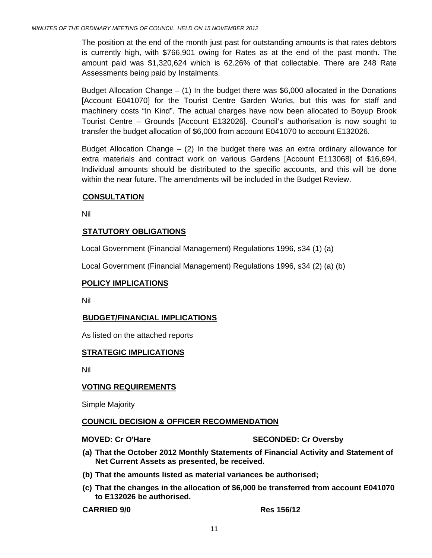The position at the end of the month just past for outstanding amounts is that rates debtors is currently high, with \$766,901 owing for Rates as at the end of the past month. The amount paid was \$1,320,624 which is 62.26% of that collectable. There are 248 Rate Assessments being paid by Instalments.

Budget Allocation Change  $-$  (1) In the budget there was \$6,000 allocated in the Donations [Account E041070] for the Tourist Centre Garden Works, but this was for staff and machinery costs "In Kind". The actual charges have now been allocated to Boyup Brook Tourist Centre – Grounds [Account E132026]. Council's authorisation is now sought to transfer the budget allocation of \$6,000 from account E041070 to account E132026.

Budget Allocation Change  $-$  (2) In the budget there was an extra ordinary allowance for extra materials and contract work on various Gardens [Account E113068] of \$16,694. Individual amounts should be distributed to the specific accounts, and this will be done within the near future. The amendments will be included in the Budget Review.

#### **CONSULTATION**

Nil

#### **STATUTORY OBLIGATIONS**

Local Government (Financial Management) Regulations 1996, s34 (1) (a)

Local Government (Financial Management) Regulations 1996, s34 (2) (a) (b)

#### **POLICY IMPLICATIONS**

Nil

#### **BUDGET/FINANCIAL IMPLICATIONS**

As listed on the attached reports

#### **STRATEGIC IMPLICATIONS**

Nil

#### **VOTING REQUIREMENTS**

Simple Majority

#### **COUNCIL DECISION & OFFICER RECOMMENDATION**

#### **MOVED: Cr O'Hare SECONDED: Cr Oversby**

- **(a) That the October 2012 Monthly Statements of Financial Activity and Statement of Net Current Assets as presented, be received.**
- **(b) That the amounts listed as material variances be authorised;**
- **(c) That the changes in the allocation of \$6,000 be transferred from account E041070 to E132026 be authorised.**

**CARRIED 9/0 Res 156/12**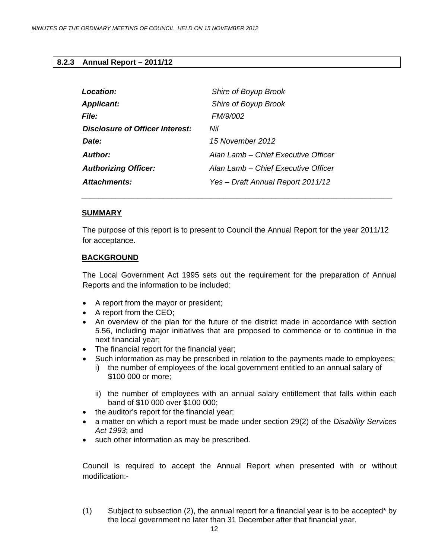#### <span id="page-11-0"></span>**8.2.3 Annual Report – 2011/12**

| Location:                              | Shire of Boyup Brook                |
|----------------------------------------|-------------------------------------|
| <b>Applicant:</b>                      | Shire of Boyup Brook                |
| <b>File:</b>                           | FM/9/002                            |
| <b>Disclosure of Officer Interest:</b> | Nil                                 |
| Date:                                  | 15 November 2012                    |
| Author:                                | Alan Lamb – Chief Executive Officer |
| <b>Authorizing Officer:</b>            | Alan Lamb – Chief Executive Officer |
| Attachments:                           | Yes - Draft Annual Report 2011/12   |

 *\_\_\_\_\_\_\_\_\_\_\_\_\_\_\_\_\_\_\_\_\_\_\_\_\_\_\_\_\_\_\_\_\_\_\_\_\_\_\_\_\_\_\_\_\_\_\_\_\_\_\_\_\_\_\_\_\_\_\_\_\_\_\_\_\_\_\_\_\_\_\_\_* 

#### **SUMMARY**

The purpose of this report is to present to Council the Annual Report for the year 2011/12 for acceptance.

#### **BACKGROUND**

The Local Government Act 1995 sets out the requirement for the preparation of Annual Reports and the information to be included:

- A report from the mayor or president;
- A report from the CEO;
- An overview of the plan for the future of the district made in accordance with section 5.56, including major initiatives that are proposed to commence or to continue in the next financial year;
- The financial report for the financial year;
- Such information as may be prescribed in relation to the payments made to employees;
	- i) the number of employees of the local government entitled to an annual salary of \$100 000 or more;
	- ii) the number of employees with an annual salary entitlement that falls within each band of \$10 000 over \$100 000;
- the auditor's report for the financial year;
- a matter on which a report must be made under section 29(2) of the *Disability Services Act 1993*; and
- such other information as may be prescribed.

Council is required to accept the Annual Report when presented with or without modification:-

(1) Subject to subsection (2), the annual report for a financial year is to be accepted\* by the local government no later than 31 December after that financial year.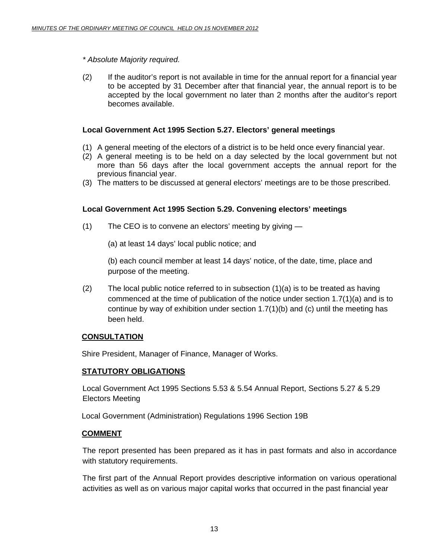#### *\* Absolute Majority required.*

(2) If the auditor's report is not available in time for the annual report for a financial year to be accepted by 31 December after that financial year, the annual report is to be accepted by the local government no later than 2 months after the auditor's report becomes available.

#### **Local Government Act 1995 Section 5.27. Electors' general meetings**

- (1) A general meeting of the electors of a district is to be held once every financial year.
- (2) A general meeting is to be held on a day selected by the local government but not more than 56 days after the local government accepts the annual report for the previous financial year.
- (3) The matters to be discussed at general electors' meetings are to be those prescribed.

#### **Local Government Act 1995 Section 5.29. Convening electors' meetings**

- (1) The CEO is to convene an electors' meeting by giving
	- (a) at least 14 days' local public notice; and

(b) each council member at least 14 days' notice, of the date, time, place and purpose of the meeting.

(2) The local public notice referred to in subsection  $(1)(a)$  is to be treated as having commenced at the time of publication of the notice under section 1.7(1)(a) and is to continue by way of exhibition under section  $1.7(1)(b)$  and (c) until the meeting has been held.

#### **CONSULTATION**

Shire President, Manager of Finance, Manager of Works.

#### **STATUTORY OBLIGATIONS**

Local Government Act 1995 Sections 5.53 & 5.54 Annual Report, Sections 5.27 & 5.29 Electors Meeting

Local Government (Administration) Regulations 1996 Section 19B

#### **COMMENT**

The report presented has been prepared as it has in past formats and also in accordance with statutory requirements.

The first part of the Annual Report provides descriptive information on various operational activities as well as on various major capital works that occurred in the past financial year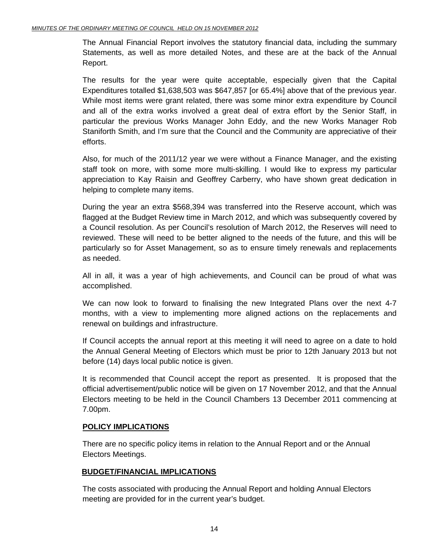The Annual Financial Report involves the statutory financial data, including the summary Statements, as well as more detailed Notes, and these are at the back of the Annual Report.

The results for the year were quite acceptable, especially given that the Capital Expenditures totalled \$1,638,503 was \$647,857 [or 65.4%] above that of the previous year. While most items were grant related, there was some minor extra expenditure by Council and all of the extra works involved a great deal of extra effort by the Senior Staff, in particular the previous Works Manager John Eddy, and the new Works Manager Rob Staniforth Smith, and I'm sure that the Council and the Community are appreciative of their efforts.

Also, for much of the 2011/12 year we were without a Finance Manager, and the existing staff took on more, with some more multi-skilling. I would like to express my particular appreciation to Kay Raisin and Geoffrey Carberry, who have shown great dedication in helping to complete many items.

During the year an extra \$568,394 was transferred into the Reserve account, which was flagged at the Budget Review time in March 2012, and which was subsequently covered by a Council resolution. As per Council's resolution of March 2012, the Reserves will need to reviewed. These will need to be better aligned to the needs of the future, and this will be particularly so for Asset Management, so as to ensure timely renewals and replacements as needed.

All in all, it was a year of high achievements, and Council can be proud of what was accomplished.

We can now look to forward to finalising the new Integrated Plans over the next 4-7 months, with a view to implementing more aligned actions on the replacements and renewal on buildings and infrastructure.

If Council accepts the annual report at this meeting it will need to agree on a date to hold the Annual General Meeting of Electors which must be prior to 12th January 2013 but not before (14) days local public notice is given.

It is recommended that Council accept the report as presented. It is proposed that the official advertisement/public notice will be given on 17 November 2012, and that the Annual Electors meeting to be held in the Council Chambers 13 December 2011 commencing at 7.00pm.

#### **POLICY IMPLICATIONS**

There are no specific policy items in relation to the Annual Report and or the Annual Electors Meetings.

#### **BUDGET/FINANCIAL IMPLICATIONS**

The costs associated with producing the Annual Report and holding Annual Electors meeting are provided for in the current year's budget.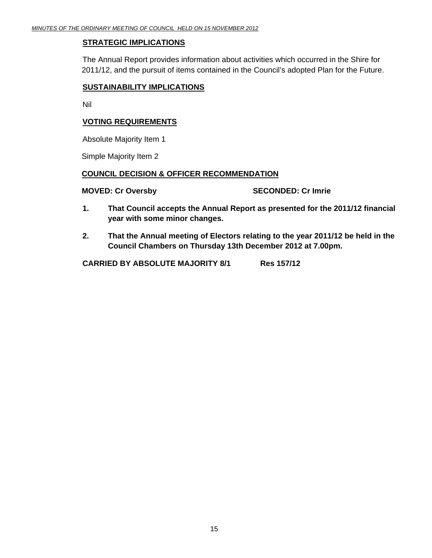#### **STRATEGIC IMPLICATIONS**

 The Annual Report provides information about activities which occurred in the Shire for 2011/12, and the pursuit of items contained in the Council's adopted Plan for the Future.

#### **SUSTAINABILITY IMPLICATIONS**

Nil

#### **VOTING REQUIREMENTS**

Absolute Majority Item 1

Simple Majority Item 2

#### **COUNCIL DECISION & OFFICER RECOMMENDATION**

**MOVED: Cr Oversby SECONDED: Cr Imrie 2018** 

- **1. That Council accepts the Annual Report as presented for the 2011/12 financial year with some minor changes.**
- **2. That the Annual meeting of Electors relating to the year 2011/12 be held in the Council Chambers on Thursday 13th December 2012 at 7.00pm.**

 **CARRIED BY ABSOLUTE MAJORITY 8/1 Res 157/12**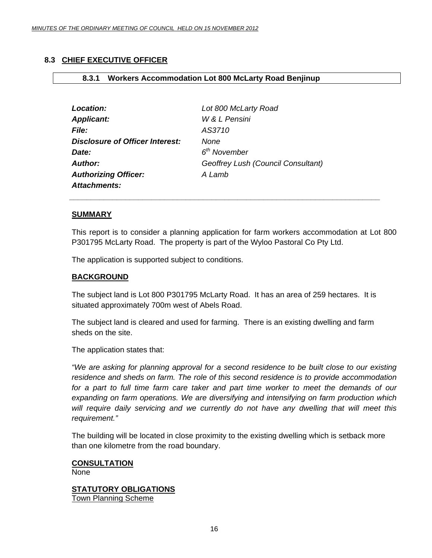#### <span id="page-15-0"></span>**8.3 CHIEF EXECUTIVE OFFICER**

#### **8.3.1 Workers Accommodation Lot 800 McLarty Road Benjinup**

| Location:                              | Lot 800 McLarty Road               |
|----------------------------------------|------------------------------------|
| <b>Applicant:</b>                      | W & L Pensini                      |
| <i>File:</i>                           | AS3710                             |
| <b>Disclosure of Officer Interest:</b> | None                               |
| Date:                                  | $6th$ November                     |
| <b>Author:</b>                         | Geoffrey Lush (Council Consultant) |
| <b>Authorizing Officer:</b>            | A Lamb                             |
| <b>Attachments:</b>                    |                                    |

 *\_\_\_\_\_\_\_\_\_\_\_\_\_\_\_\_\_\_\_\_\_\_\_\_\_\_\_\_\_\_\_\_\_\_\_\_\_\_\_\_\_\_\_\_\_\_\_\_\_\_\_\_\_\_\_\_\_\_\_\_\_\_\_\_\_\_\_\_\_\_\_\_* 

#### **SUMMARY**

This report is to consider a planning application for farm workers accommodation at Lot 800 P301795 McLarty Road. The property is part of the Wyloo Pastoral Co Pty Ltd.

The application is supported subject to conditions.

#### **BACKGROUND**

The subject land is Lot 800 P301795 McLarty Road. It has an area of 259 hectares. It is situated approximately 700m west of Abels Road.

The subject land is cleared and used for farming. There is an existing dwelling and farm sheds on the site.

The application states that:

*"We are asking for planning approval for a second residence to be built close to our existing residence and sheds on farm. The role of this second residence is to provide accommodation*  for a part to full time farm care taker and part time worker to meet the demands of our *expanding on farm operations. We are diversifying and intensifying on farm production which will require daily servicing and we currently do not have any dwelling that will meet this requirement."* 

The building will be located in close proximity to the existing dwelling which is setback more than one kilometre from the road boundary.

#### **CONSULTATION**

None

**STATUTORY OBLIGATIONS** Town Planning Scheme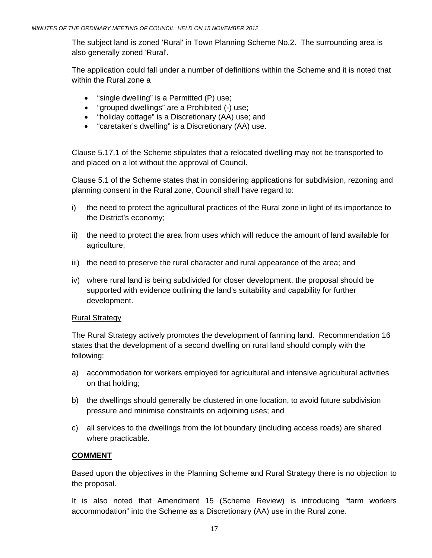The subject land is zoned 'Rural' in Town Planning Scheme No.2. The surrounding area is also generally zoned 'Rural'.

The application could fall under a number of definitions within the Scheme and it is noted that within the Rural zone a

- "single dwelling" is a Permitted (P) use;
- "grouped dwellings" are a Prohibited (-) use;
- "holiday cottage" is a Discretionary (AA) use; and
- "caretaker's dwelling" is a Discretionary (AA) use.

Clause 5.17.1 of the Scheme stipulates that a relocated dwelling may not be transported to and placed on a lot without the approval of Council.

Clause 5.1 of the Scheme states that in considering applications for subdivision, rezoning and planning consent in the Rural zone, Council shall have regard to:

- i) the need to protect the agricultural practices of the Rural zone in light of its importance to the District's economy;
- ii) the need to protect the area from uses which will reduce the amount of land available for agriculture;
- iii) the need to preserve the rural character and rural appearance of the area; and
- iv) where rural land is being subdivided for closer development, the proposal should be supported with evidence outlining the land's suitability and capability for further development.

#### Rural Strategy

The Rural Strategy actively promotes the development of farming land. Recommendation 16 states that the development of a second dwelling on rural land should comply with the following:

- a) accommodation for workers employed for agricultural and intensive agricultural activities on that holding;
- b) the dwellings should generally be clustered in one location, to avoid future subdivision pressure and minimise constraints on adjoining uses; and
- c) all services to the dwellings from the lot boundary (including access roads) are shared where practicable.

#### **COMMENT**

Based upon the objectives in the Planning Scheme and Rural Strategy there is no objection to the proposal.

It is also noted that Amendment 15 (Scheme Review) is introducing "farm workers accommodation" into the Scheme as a Discretionary (AA) use in the Rural zone.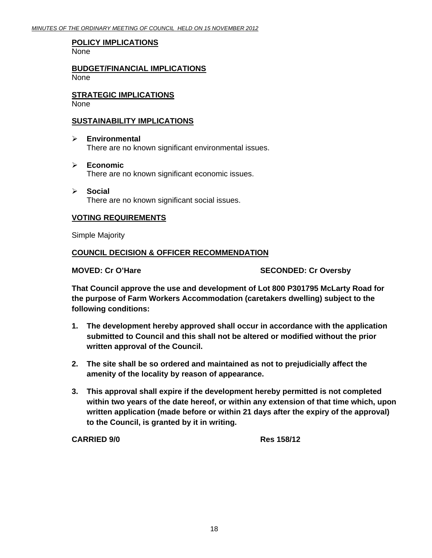#### **POLICY IMPLICATIONS**

None

**BUDGET/FINANCIAL IMPLICATIONS** None

**STRATEGIC IMPLICATIONS** None

#### **SUSTAINABILITY IMPLICATIONS**

- ¾ **Environmental**  There are no known significant environmental issues.
- ¾ **Economic**  There are no known significant economic issues.
- ¾ **Social**  There are no known significant social issues.

#### **VOTING REQUIREMENTS**

Simple Majority

#### **COUNCIL DECISION & OFFICER RECOMMENDATION**

MOVED: Cr O'Hare **SECONDED: Cr Oversby** 

**That Council approve the use and development of Lot 800 P301795 McLarty Road for the purpose of Farm Workers Accommodation (caretakers dwelling) subject to the following conditions:** 

- **1. The development hereby approved shall occur in accordance with the application submitted to Council and this shall not be altered or modified without the prior written approval of the Council.**
- **2. The site shall be so ordered and maintained as not to prejudicially affect the amenity of the locality by reason of appearance.**
- **3. This approval shall expire if the development hereby permitted is not completed within two years of the date hereof, or within any extension of that time which, upon written application (made before or within 21 days after the expiry of the approval) to the Council, is granted by it in writing.**

**CARRIED 9/0 Res 158/12**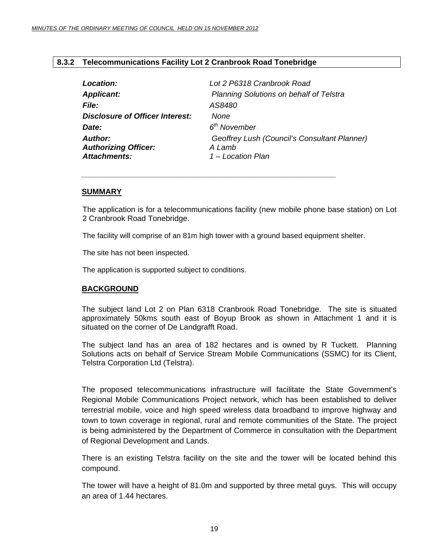#### <span id="page-18-0"></span>**8.3.2 Telecommunications Facility Lot 2 Cranbrook Road Tonebridge**

| Location:                                                            | Lot 2 P6318 Cranbrook Road                                                  |
|----------------------------------------------------------------------|-----------------------------------------------------------------------------|
| <b>Applicant:</b>                                                    | <b>Planning Solutions on behalf of Telstra</b>                              |
| <b>File:</b>                                                         | AS8480                                                                      |
| <b>Disclosure of Officer Interest:</b>                               | None                                                                        |
| Date:                                                                | 6 <sup>th</sup> November                                                    |
| <b>Author:</b><br><b>Authorizing Officer:</b><br><b>Attachments:</b> | Geoffrey Lush (Council's Consultant Planner)<br>A Lamb<br>1 – Location Plan |

*\_\_\_\_\_\_\_\_\_\_\_\_\_\_\_\_\_\_\_\_\_\_\_\_\_\_\_\_\_\_\_\_\_\_\_\_\_\_\_\_\_\_\_\_\_\_\_\_\_\_\_\_\_\_\_\_\_\_\_* 

#### **SUMMARY**

The application is for a telecommunications facility (new mobile phone base station) on Lot 2 Cranbrook Road Tonebridge.

The facility will comprise of an 81m high tower with a ground based equipment shelter.

The site has not been inspected.

The application is supported subject to conditions.

#### **BACKGROUND**

The subject land Lot 2 on Plan 6318 Cranbrook Road Tonebridge. The site is situated approximately 50kms south east of Boyup Brook as shown in Attachment 1 and it is situated on the corner of De Landgrafft Road.

The subject land has an area of 182 hectares and is owned by R Tuckett. Planning Solutions acts on behalf of Service Stream Mobile Communications (SSMC) for its Client, Telstra Corporation Ltd (Telstra).

The proposed telecommunications infrastructure will facilitate the State Government's Regional Mobile Communications Project network, which has been established to deliver terrestrial mobile, voice and high speed wireless data broadband to improve highway and town to town coverage in regional, rural and remote communities of the State. The project is being administered by the Department of Commerce in consultation with the Department of Regional Development and Lands.

There is an existing Telstra facility on the site and the tower will be located behind this compound.

The tower will have a height of 81.0m and supported by three metal guys. This will occupy an area of 1.44 hectares.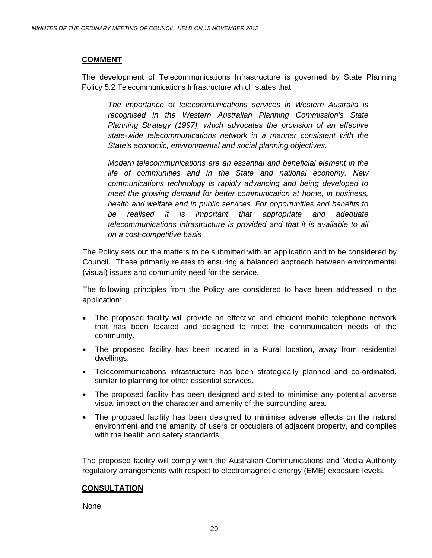#### **COMMENT**

The development of Telecommunications Infrastructure is governed by State Planning Policy 5.2 Telecommunications Infrastructure which states that

*The importance of telecommunications services in Western Australia is recognised in the Western Australian Planning Commission's State Planning Strategy (1997), which advocates the provision of an effective state-wide telecommunications network in a manner consistent with the State's economic, environmental and social planning objectives.* 

*Modern telecommunications are an essential and beneficial element in the life of communities and in the State and national economy. New communications technology is rapidly advancing and being developed to meet the growing demand for better communication at home, in business, health and welfare and in public services. For opportunities and benefits to be realised it is important that appropriate and adequate telecommunications infrastructure is provided and that it is available to all on a cost-competitive basis* 

The Policy sets out the matters to be submitted with an application and to be considered by Council. These primarily relates to ensuring a balanced approach between environmental (visual) issues and community need for the service.

The following principles from the Policy are considered to have been addressed in the application:

- The proposed facility will provide an effective and efficient mobile telephone network that has been located and designed to meet the communication needs of the community.
- The proposed facility has been located in a Rural location, away from residential dwellings.
- Telecommunications infrastructure has been strategically planned and co-ordinated, similar to planning for other essential services.
- The proposed facility has been designed and sited to minimise any potential adverse visual impact on the character and amenity of the surrounding area.
- The proposed facility has been designed to minimise adverse effects on the natural environment and the amenity of users or occupiers of adjacent property, and complies with the health and safety standards.

The proposed facility will comply with the Australian Communications and Media Authority regulatory arrangements with respect to electromagnetic energy (EME) exposure levels.

#### **CONSULTATION**

**None**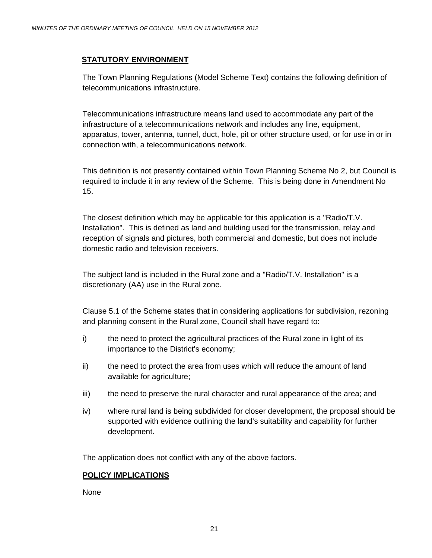#### **STATUTORY ENVIRONMENT**

The Town Planning Regulations (Model Scheme Text) contains the following definition of telecommunications infrastructure.

Telecommunications infrastructure means land used to accommodate any part of the infrastructure of a telecommunications network and includes any line, equipment, apparatus, tower, antenna, tunnel, duct, hole, pit or other structure used, or for use in or in connection with, a telecommunications network.

This definition is not presently contained within Town Planning Scheme No 2, but Council is required to include it in any review of the Scheme. This is being done in Amendment No 15.

The closest definition which may be applicable for this application is a "Radio/T.V. Installation". This is defined as land and building used for the transmission, relay and reception of signals and pictures, both commercial and domestic, but does not include domestic radio and television receivers.

The subject land is included in the Rural zone and a "Radio/T.V. Installation" is a discretionary (AA) use in the Rural zone.

Clause 5.1 of the Scheme states that in considering applications for subdivision, rezoning and planning consent in the Rural zone, Council shall have regard to:

- i) the need to protect the agricultural practices of the Rural zone in light of its importance to the District's economy;
- ii) the need to protect the area from uses which will reduce the amount of land available for agriculture;
- iii) the need to preserve the rural character and rural appearance of the area; and
- iv) where rural land is being subdivided for closer development, the proposal should be supported with evidence outlining the land's suitability and capability for further development.

The application does not conflict with any of the above factors.

#### **POLICY IMPLICATIONS**

None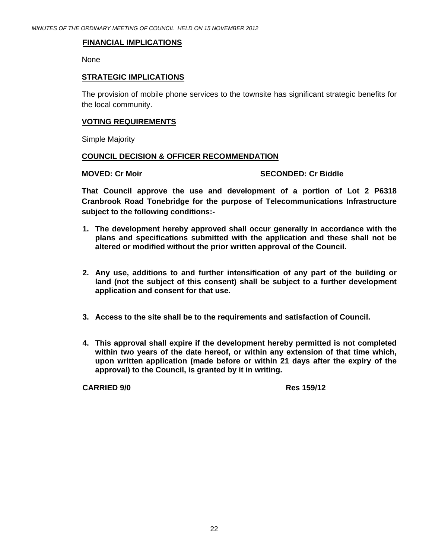#### **FINANCIAL IMPLICATIONS**

None

#### **STRATEGIC IMPLICATIONS**

The provision of mobile phone services to the townsite has significant strategic benefits for the local community.

#### **VOTING REQUIREMENTS**

Simple Majority

#### **COUNCIL DECISION & OFFICER RECOMMENDATION**

#### **MOVED: Cr Moir** SECONDED: Cr Biddle

**That Council approve the use and development of a portion of Lot 2 P6318 Cranbrook Road Tonebridge for the purpose of Telecommunications Infrastructure subject to the following conditions:-** 

- **1. The development hereby approved shall occur generally in accordance with the plans and specifications submitted with the application and these shall not be altered or modified without the prior written approval of the Council.**
- **2. Any use, additions to and further intensification of any part of the building or land (not the subject of this consent) shall be subject to a further development application and consent for that use.**
- **3. Access to the site shall be to the requirements and satisfaction of Council.**
- **4. This approval shall expire if the development hereby permitted is not completed within two years of the date hereof, or within any extension of that time which, upon written application (made before or within 21 days after the expiry of the approval) to the Council, is granted by it in writing.**

**CARRIED 9/0 Res 159/12**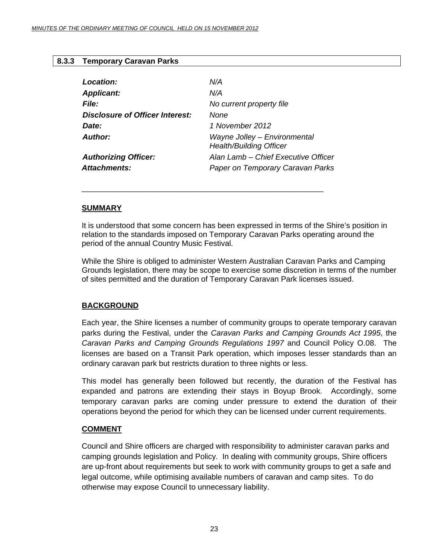#### <span id="page-22-0"></span>**8.3.3 Temporary Caravan Parks**

| Location:                       | N/A                                                            |
|---------------------------------|----------------------------------------------------------------|
| <b>Applicant:</b>               | N/A                                                            |
| <b>File:</b>                    | No current property file                                       |
| Disclosure of Officer Interest: | None                                                           |
| Date:                           | 1 November 2012                                                |
| Author:                         | Wayne Jolley - Environmental<br><b>Health/Building Officer</b> |
| <b>Authorizing Officer:</b>     | Alan Lamb – Chief Executive Officer                            |
| Attachments:                    | Paper on Temporary Caravan Parks                               |

\_\_\_\_\_\_\_\_\_\_\_\_\_\_\_\_\_\_\_\_\_\_\_\_\_\_\_\_\_\_\_\_\_\_\_\_\_\_\_\_\_\_\_\_\_\_\_\_\_\_\_\_\_\_\_\_

#### **SUMMARY**

It is understood that some concern has been expressed in terms of the Shire's position in relation to the standards imposed on Temporary Caravan Parks operating around the period of the annual Country Music Festival.

While the Shire is obliged to administer Western Australian Caravan Parks and Camping Grounds legislation, there may be scope to exercise some discretion in terms of the number of sites permitted and the duration of Temporary Caravan Park licenses issued.

#### **BACKGROUND**

Each year, the Shire licenses a number of community groups to operate temporary caravan parks during the Festival, under the *Caravan Parks and Camping Grounds Act 1995*, the *Caravan Parks and Camping Grounds Regulations 1997* and Council Policy O.08. The licenses are based on a Transit Park operation, which imposes lesser standards than an ordinary caravan park but restricts duration to three nights or less.

This model has generally been followed but recently, the duration of the Festival has expanded and patrons are extending their stays in Boyup Brook. Accordingly, some temporary caravan parks are coming under pressure to extend the duration of their operations beyond the period for which they can be licensed under current requirements.

#### **COMMENT**

Council and Shire officers are charged with responsibility to administer caravan parks and camping grounds legislation and Policy. In dealing with community groups, Shire officers are up-front about requirements but seek to work with community groups to get a safe and legal outcome, while optimising available numbers of caravan and camp sites. To do otherwise may expose Council to unnecessary liability.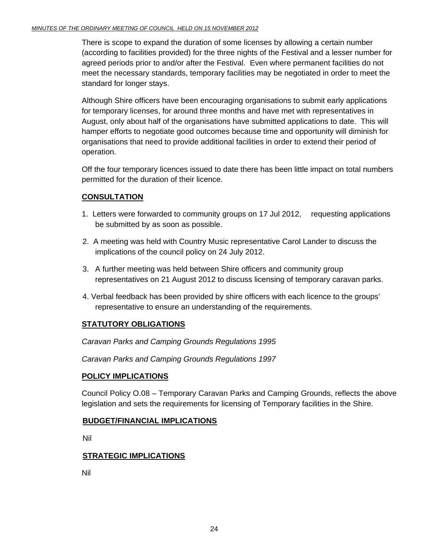There is scope to expand the duration of some licenses by allowing a certain number (according to facilities provided) for the three nights of the Festival and a lesser number for agreed periods prior to and/or after the Festival. Even where permanent facilities do not meet the necessary standards, temporary facilities may be negotiated in order to meet the standard for longer stays.

Although Shire officers have been encouraging organisations to submit early applications for temporary licenses, for around three months and have met with representatives in August, only about half of the organisations have submitted applications to date. This will hamper efforts to negotiate good outcomes because time and opportunity will diminish for organisations that need to provide additional facilities in order to extend their period of operation.

Off the four temporary licences issued to date there has been little impact on total numbers permitted for the duration of their licence.

### **CONSULTATION**

- 1. Letters were forwarded to community groups on 17 Jul 2012, requesting applications be submitted by as soon as possible.
- 2. A meeting was held with Country Music representative Carol Lander to discuss the implications of the council policy on 24 July 2012.
- 3. A further meeting was held between Shire officers and community group representatives on 21 August 2012 to discuss licensing of temporary caravan parks.
- 4. Verbal feedback has been provided by shire officers with each licence to the groups' representative to ensure an understanding of the requirements.

#### **STATUTORY OBLIGATIONS**

*Caravan Parks and Camping Grounds Regulations 1995* 

*Caravan Parks and Camping Grounds Regulations 1997* 

#### **POLICY IMPLICATIONS**

Council Policy O.08 – Temporary Caravan Parks and Camping Grounds, reflects the above legislation and sets the requirements for licensing of Temporary facilities in the Shire.

#### **BUDGET/FINANCIAL IMPLICATIONS**

Nil

#### **STRATEGIC IMPLICATIONS**

Nil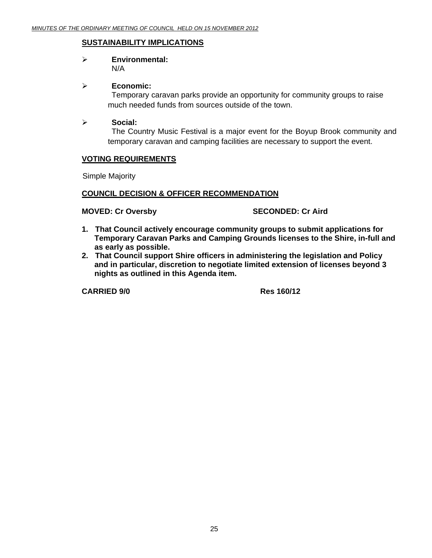#### **SUSTAINABILITY IMPLICATIONS**

#### ¾ **Environmental:**  N/A

#### ¾ **Economic:**

 Temporary caravan parks provide an opportunity for community groups to raise much needed funds from sources outside of the town.

#### ¾ **Social:**

 The Country Music Festival is a major event for the Boyup Brook community and temporary caravan and camping facilities are necessary to support the event.

#### **VOTING REQUIREMENTS**

Simple Majority

#### **COUNCIL DECISION & OFFICER RECOMMENDATION**

**MOVED: Cr Oversby SECONDED: Cr Aird 3DECONDED: Cr Aird 3DECONDED:** 

- **1. That Council actively encourage community groups to submit applications for Temporary Caravan Parks and Camping Grounds licenses to the Shire, in-full and as early as possible.**
- **2. That Council support Shire officers in administering the legislation and Policy and in particular, discretion to negotiate limited extension of licenses beyond 3 nights as outlined in this Agenda item.**

**CARRIED 9/0 Res 160/12**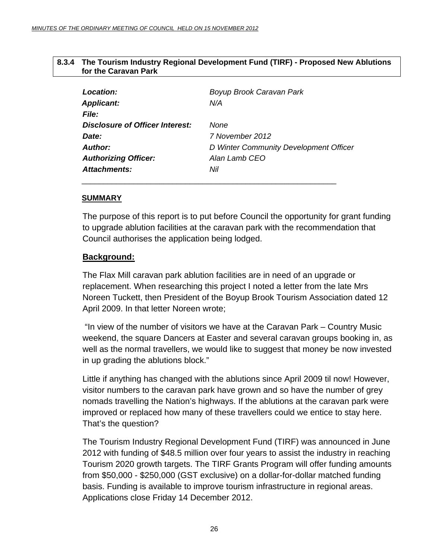#### <span id="page-25-0"></span>**8.3.4 The Tourism Industry Regional Development Fund (TIRF) - Proposed New Ablutions for the Caravan Park**

| <b>Location:</b>                | Boyup Brook Caravan Park               |
|---------------------------------|----------------------------------------|
| <b>Applicant:</b>               | N/A                                    |
| <i>File:</i>                    |                                        |
| Disclosure of Officer Interest: | None                                   |
| Date:                           | 7 November 2012                        |
| Author:                         | D Winter Community Development Officer |
| <b>Authorizing Officer:</b>     | Alan Lamb CEO                          |
| Attachments:                    | Nil                                    |
|                                 |                                        |

#### **SUMMARY**

The purpose of this report is to put before Council the opportunity for grant funding to upgrade ablution facilities at the caravan park with the recommendation that Council authorises the application being lodged.

#### **Background:**

The Flax Mill caravan park ablution facilities are in need of an upgrade or replacement. When researching this project I noted a letter from the late Mrs Noreen Tuckett, then President of the Boyup Brook Tourism Association dated 12 April 2009. In that letter Noreen wrote;

 "In view of the number of visitors we have at the Caravan Park – Country Music weekend, the square Dancers at Easter and several caravan groups booking in, as well as the normal travellers, we would like to suggest that money be now invested in up grading the ablutions block."

Little if anything has changed with the ablutions since April 2009 til now! However, visitor numbers to the caravan park have grown and so have the number of grey nomads travelling the Nation's highways. If the ablutions at the caravan park were improved or replaced how many of these travellers could we entice to stay here. That's the question?

The Tourism Industry Regional Development Fund (TIRF) was announced in June 2012 with funding of \$48.5 million over four years to assist the industry in reaching Tourism 2020 growth targets. The TIRF Grants Program will offer funding amounts from \$50,000 - \$250,000 (GST exclusive) on a dollar-for-dollar matched funding basis. Funding is available to improve tourism infrastructure in regional areas. Applications close Friday 14 December 2012.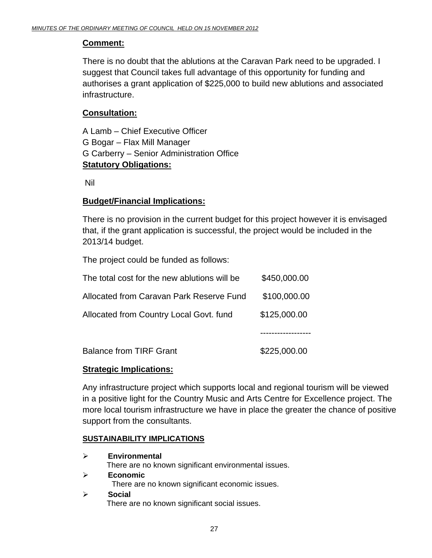### **Comment:**

There is no doubt that the ablutions at the Caravan Park need to be upgraded. I suggest that Council takes full advantage of this opportunity for funding and authorises a grant application of \$225,000 to build new ablutions and associated infrastructure.

### **Consultation:**

A Lamb – Chief Executive Officer G Bogar – Flax Mill Manager G Carberry – Senior Administration Office **Statutory Obligations:**

Nil

### **Budget/Financial Implications:**

There is no provision in the current budget for this project however it is envisaged that, if the grant application is successful, the project would be included in the 2013/14 budget.

The project could be funded as follows:

| <b>Balance from TIRF Grant</b>               | \$225,000.00 |
|----------------------------------------------|--------------|
|                                              |              |
| Allocated from Country Local Govt. fund      | \$125,000.00 |
| Allocated from Caravan Park Reserve Fund     | \$100,000.00 |
| The total cost for the new ablutions will be | \$450,000.00 |

### **Strategic Implications:**

Any infrastructure project which supports local and regional tourism will be viewed in a positive light for the Country Music and Arts Centre for Excellence project. The more local tourism infrastructure we have in place the greater the chance of positive support from the consultants.

### **SUSTAINABILITY IMPLICATIONS**

- ¾ **Environmental**  There are no known significant environmental issues. ¾ **Economic**  There are no known significant economic issues.
- ¾ **Social**  There are no known significant social issues.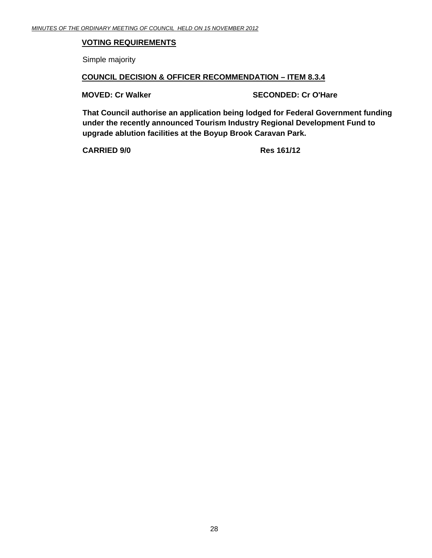#### **VOTING REQUIREMENTS**

Simple majority

#### **COUNCIL DECISION & OFFICER RECOMMENDATION – ITEM 8.3.4**

**MOVED: Cr Walker SECONDED: Cr O'Hare** SECONDED: Cr O'Hare

**That Council authorise an application being lodged for Federal Government funding under the recently announced Tourism Industry Regional Development Fund to upgrade ablution facilities at the Boyup Brook Caravan Park.** 

**CARRIED 9/0 Res 161/12**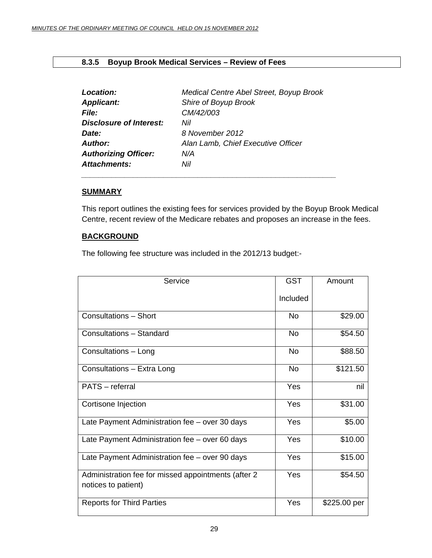#### <span id="page-28-0"></span>**8.3.5 Boyup Brook Medical Services – Review of Fees**

| Location:                   | Medical Centre Abel Street, Boyup Brook |
|-----------------------------|-----------------------------------------|
| <b>Applicant:</b>           | Shire of Boyup Brook                    |
| <b>File:</b>                | CM/42/003                               |
| Disclosure of Interest:     | Nil                                     |
| Date:                       | 8 November 2012                         |
| <b>Author:</b>              | Alan Lamb, Chief Executive Officer      |
| <b>Authorizing Officer:</b> | N/A                                     |
| <b>Attachments:</b>         | Nil                                     |

*\_\_\_\_\_\_\_\_\_\_\_\_\_\_\_\_\_\_\_\_\_\_\_\_\_\_\_\_\_\_\_\_\_\_\_\_\_\_\_\_\_\_\_\_\_\_\_\_\_\_\_\_\_\_\_\_\_\_\_* 

#### **SUMMARY**

This report outlines the existing fees for services provided by the Boyup Brook Medical Centre, recent review of the Medicare rebates and proposes an increase in the fees.

#### **BACKGROUND**

The following fee structure was included in the 2012/13 budget:-

| Service                                                                     | <b>GST</b> | Amount       |
|-----------------------------------------------------------------------------|------------|--------------|
|                                                                             | Included   |              |
| <b>Consultations - Short</b>                                                | No         | \$29.00      |
| Consultations - Standard                                                    | <b>No</b>  | \$54.50      |
| Consultations - Long                                                        | No         | \$88.50      |
| Consultations - Extra Long                                                  | <b>No</b>  | \$121.50     |
| PATS - referral                                                             | Yes        | nil          |
| Cortisone Injection                                                         | Yes        | \$31.00      |
| Late Payment Administration fee - over 30 days                              | Yes        | \$5.00       |
| Late Payment Administration fee - over 60 days                              | Yes        | \$10.00      |
| Late Payment Administration fee - over 90 days                              | Yes        | \$15.00      |
| Administration fee for missed appointments (after 2)<br>notices to patient) | Yes        | \$54.50      |
| <b>Reports for Third Parties</b>                                            | Yes        | \$225.00 per |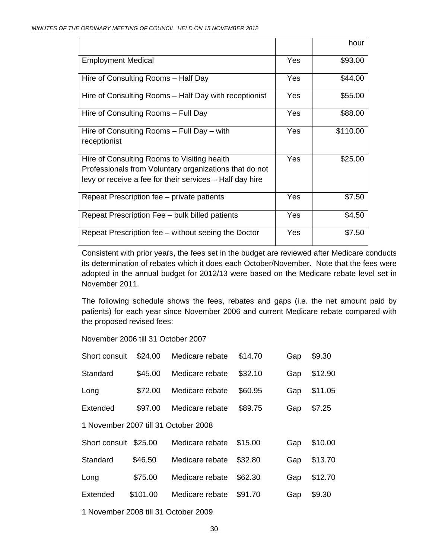|                                                                                                                                                                   |     | hour     |
|-------------------------------------------------------------------------------------------------------------------------------------------------------------------|-----|----------|
| <b>Employment Medical</b>                                                                                                                                         | Yes | \$93.00  |
| Hire of Consulting Rooms - Half Day                                                                                                                               | Yes | \$44.00  |
| Hire of Consulting Rooms - Half Day with receptionist                                                                                                             | Yes | \$55.00  |
| Hire of Consulting Rooms - Full Day                                                                                                                               | Yes | \$88.00  |
| Hire of Consulting Rooms – Full Day – with<br>receptionist                                                                                                        | Yes | \$110.00 |
| Hire of Consulting Rooms to Visiting health<br>Professionals from Voluntary organizations that do not<br>levy or receive a fee for their services – Half day hire | Yes | \$25.00  |
| Repeat Prescription fee – private patients                                                                                                                        | Yes | \$7.50   |
| Repeat Prescription Fee – bulk billed patients                                                                                                                    | Yes | \$4.50   |
| Repeat Prescription fee - without seeing the Doctor                                                                                                               | Yes | \$7.50   |

Consistent with prior years, the fees set in the budget are reviewed after Medicare conducts its determination of rebates which it does each October/November. Note that the fees were adopted in the annual budget for 2012/13 were based on the Medicare rebate level set in November 2011.

The following schedule shows the fees, rebates and gaps (i.e. the net amount paid by patients) for each year since November 2006 and current Medicare rebate compared with the proposed revised fees:

November 2006 till 31 October 2007

| Short consult | \$24.00  | Medicare rebate                      | \$14.70 | Gap | \$9.30  |
|---------------|----------|--------------------------------------|---------|-----|---------|
| Standard      | \$45.00  | Medicare rebate                      | \$32.10 | Gap | \$12.90 |
| Long          | \$72.00  | Medicare rebate                      | \$60.95 | Gap | \$11.05 |
| Extended      | \$97.00  | Medicare rebate                      | \$89.75 | Gap | \$7.25  |
|               |          | 1 November 2007 till 31 October 2008 |         |     |         |
| Short consult | \$25.00  | Medicare rebate                      | \$15.00 | Gap | \$10.00 |
| Standard      | \$46.50  | Medicare rebate                      | \$32.80 | Gap | \$13.70 |
| Long          | \$75.00  | Medicare rebate                      | \$62.30 | Gap | \$12.70 |
| Extended      | \$101.00 | Medicare rebate                      | \$91.70 | Gap | \$9.30  |
|               |          |                                      |         |     |         |

1 November 2008 till 31 October 2009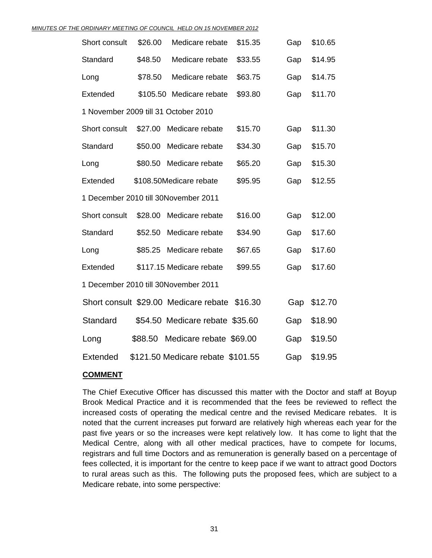|                                      |         | MINUTES OF THE ORDINARY MEETING OF COUNCIL HELD ON 15 NOVEMBER 2012 |         |     |         |
|--------------------------------------|---------|---------------------------------------------------------------------|---------|-----|---------|
| Short consult                        | \$26.00 | Medicare rebate                                                     | \$15.35 | Gap | \$10.65 |
| Standard                             | \$48.50 | Medicare rebate                                                     | \$33.55 | Gap | \$14.95 |
| Long                                 | \$78.50 | Medicare rebate                                                     | \$63.75 | Gap | \$14.75 |
| Extended                             |         | \$105.50 Medicare rebate                                            | \$93.80 | Gap | \$11.70 |
| 1 November 2009 till 31 October 2010 |         |                                                                     |         |     |         |
| Short consult                        |         | \$27.00 Medicare rebate                                             | \$15.70 | Gap | \$11.30 |
| Standard                             | \$50.00 | Medicare rebate                                                     | \$34.30 | Gap | \$15.70 |
| Long                                 | \$80.50 | Medicare rebate                                                     | \$65.20 | Gap | \$15.30 |
| Extended                             |         | \$108.50Medicare rebate                                             | \$95.95 | Gap | \$12.55 |
|                                      |         | 1 December 2010 till 30November 2011                                |         |     |         |
| Short consult                        | \$28.00 | Medicare rebate                                                     | \$16.00 | Gap | \$12.00 |
| Standard                             | \$52.50 | Medicare rebate                                                     | \$34.90 | Gap | \$17.60 |
| Long                                 |         | \$85.25 Medicare rebate                                             | \$67.65 | Gap | \$17.60 |
| Extended                             |         | \$117.15 Medicare rebate                                            | \$99.55 | Gap | \$17.60 |
|                                      |         | 1 December 2010 till 30November 2011                                |         |     |         |
|                                      |         | Short consult \$29.00 Medicare rebate \$16.30                       |         | Gap | \$12.70 |
| Standard                             |         | \$54.50 Medicare rebate \$35.60                                     |         | Gap | \$18.90 |
| Long                                 | \$88.50 | Medicare rebate \$69.00                                             |         | Gap | \$19.50 |
| <b>Extended</b>                      |         | \$121.50 Medicare rebate \$101.55                                   |         | Gap | \$19.95 |

#### **COMMENT**

The Chief Executive Officer has discussed this matter with the Doctor and staff at Boyup Brook Medical Practice and it is recommended that the fees be reviewed to reflect the increased costs of operating the medical centre and the revised Medicare rebates. It is noted that the current increases put forward are relatively high whereas each year for the past five years or so the increases were kept relatively low. It has come to light that the Medical Centre, along with all other medical practices, have to compete for locums, registrars and full time Doctors and as remuneration is generally based on a percentage of fees collected, it is important for the centre to keep pace if we want to attract good Doctors to rural areas such as this. The following puts the proposed fees, which are subject to a Medicare rebate, into some perspective: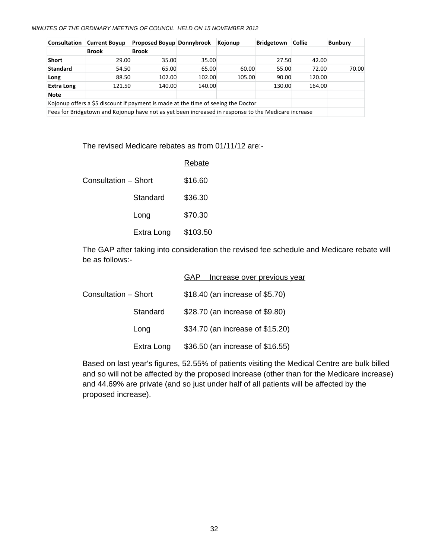#### *MINUTES OF THE ORDINARY MEETING OF COUNCIL HELD ON 15 NOVEMBER 2012*

| <b>Consultation</b> | <b>Current Boyup</b> | Proposed Boyup Donnybrook                                                                           |        | Kojonup | Bridgetown | <b>Collie</b> | <b>Bunbury</b> |
|---------------------|----------------------|-----------------------------------------------------------------------------------------------------|--------|---------|------------|---------------|----------------|
|                     | <b>Brook</b>         | <b>Brook</b>                                                                                        |        |         |            |               |                |
| <b>Short</b>        | 29.00                | 35.00                                                                                               | 35.00  |         | 27.50      | 42.00         |                |
| <b>Standard</b>     | 54.50                | 65.00                                                                                               | 65.00  | 60.00   | 55.00      | 72.00         | 70.00          |
| Long                | 88.50                | 102.00                                                                                              | 102.00 | 105.00  | 90.00      | 120.00        |                |
| <b>Extra Long</b>   | 121.50               | 140.00                                                                                              | 140.00 |         | 130.00     | 164.00        |                |
| <b>Note</b>         |                      |                                                                                                     |        |         |            |               |                |
|                     |                      | Kojonup offers a \$5 discount if payment is made at the time of seeing the Doctor                   |        |         |            |               |                |
|                     |                      | Foos for Dridgetown and Kaionun boys not as yet boon increased in response to the Medicare increase |        |         |            |               |                |

Fees for Bridgetown and Kojonup have not as yet been increased in response to the Medicare increase

The revised Medicare rebates as from 01/11/12 are:-

|                      |            | <b>Rebate</b> |
|----------------------|------------|---------------|
| Consultation – Short |            | \$16.60       |
|                      | Standard   | \$36.30       |
|                      | Long       | \$70.30       |
|                      | Extra Long | \$103.50      |

The GAP after taking into consideration the revised fee schedule and Medicare rebate will be as follows:-

|                      | Increase over previous year<br>GAP |
|----------------------|------------------------------------|
| Consultation - Short | \$18.40 (an increase of \$5.70)    |
| Standard             | \$28.70 (an increase of \$9.80)    |
| Long                 | \$34.70 (an increase of \$15.20)   |
| Extra Long           | \$36.50 (an increase of \$16.55)   |

Based on last year's figures, 52.55% of patients visiting the Medical Centre are bulk billed and so will not be affected by the proposed increase (other than for the Medicare increase) and 44.69% are private (and so just under half of all patients will be affected by the proposed increase).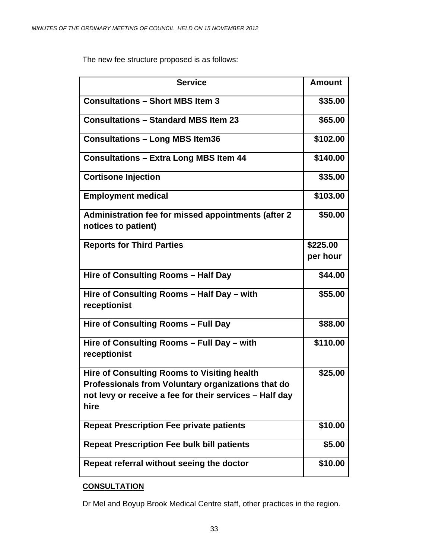The new fee structure proposed is as follows:

| <b>Service</b>                                                                                                                                                       | <b>Amount</b> |
|----------------------------------------------------------------------------------------------------------------------------------------------------------------------|---------------|
| <b>Consultations - Short MBS Item 3</b>                                                                                                                              | \$35.00       |
| <b>Consultations - Standard MBS Item 23</b>                                                                                                                          | \$65.00       |
| <b>Consultations - Long MBS Item36</b>                                                                                                                               | \$102.00      |
| <b>Consultations - Extra Long MBS Item 44</b>                                                                                                                        | \$140.00      |
| <b>Cortisone Injection</b>                                                                                                                                           | \$35.00       |
| <b>Employment medical</b>                                                                                                                                            | \$103.00      |
| Administration fee for missed appointments (after 2<br>notices to patient)                                                                                           | \$50.00       |
| <b>Reports for Third Parties</b>                                                                                                                                     | \$225,00      |
|                                                                                                                                                                      | per hour      |
| Hire of Consulting Rooms - Half Day                                                                                                                                  | \$44.00       |
| Hire of Consulting Rooms - Half Day - with<br>receptionist                                                                                                           | \$55.00       |
| Hire of Consulting Rooms - Full Day                                                                                                                                  | \$88.00       |
| Hire of Consulting Rooms - Full Day - with<br>receptionist                                                                                                           | \$110.00      |
| Hire of Consulting Rooms to Visiting health<br>Professionals from Voluntary organizations that do<br>not levy or receive a fee for their services - Half day<br>hire | \$25.00       |
| <b>Repeat Prescription Fee private patients</b>                                                                                                                      | \$10.00       |
| <b>Repeat Prescription Fee bulk bill patients</b>                                                                                                                    | \$5.00        |
| Repeat referral without seeing the doctor                                                                                                                            | \$10.00       |

### **CONSULTATION**

Dr Mel and Boyup Brook Medical Centre staff, other practices in the region.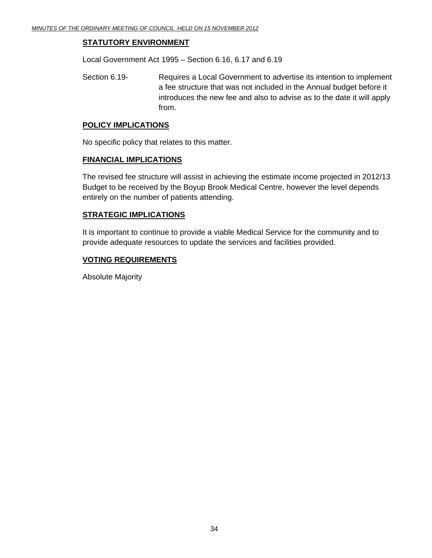#### **STATUTORY ENVIRONMENT**

Local Government Act 1995 – Section 6.16, 6.17 and 6.19

Section 6.19- Requires a Local Government to advertise its intention to implement a fee structure that was not included in the Annual budget before it introduces the new fee and also to advise as to the date it will apply from.

#### **POLICY IMPLICATIONS**

No specific policy that relates to this matter.

#### **FINANCIAL IMPLICATIONS**

The revised fee structure will assist in achieving the estimate income projected in 2012/13 Budget to be received by the Boyup Brook Medical Centre, however the level depends entirely on the number of patients attending.

#### **STRATEGIC IMPLICATIONS**

It is important to continue to provide a viable Medical Service for the community and to provide adequate resources to update the services and facilities provided.

#### **VOTING REQUIREMENTS**

Absolute Majority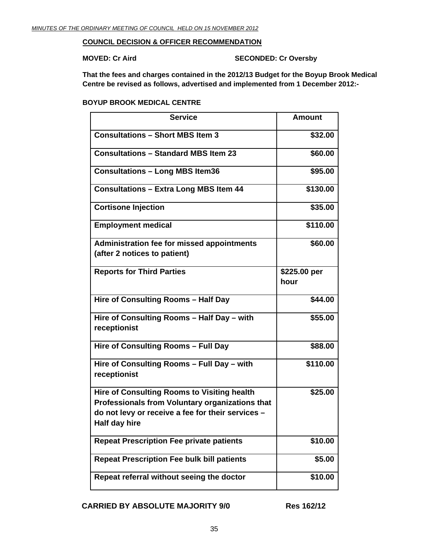#### **COUNCIL DECISION & OFFICER RECOMMENDATION**

**MOVED: Cr Aird SECONDED: Cr Oversby** 

**That the fees and charges contained in the 2012/13 Budget for the Boyup Brook Medical Centre be revised as follows, advertised and implemented from 1 December 2012:-** 

**BOYUP BROOK MEDICAL CENTRE** 

| <b>Service</b>                                                                                                                                                              | <b>Amount</b>        |
|-----------------------------------------------------------------------------------------------------------------------------------------------------------------------------|----------------------|
| <b>Consultations - Short MBS Item 3</b>                                                                                                                                     | \$32.00              |
| <b>Consultations - Standard MBS Item 23</b>                                                                                                                                 | \$60.00              |
| <b>Consultations - Long MBS Item36</b>                                                                                                                                      | \$95.00              |
| <b>Consultations - Extra Long MBS Item 44</b>                                                                                                                               | \$130.00             |
| <b>Cortisone Injection</b>                                                                                                                                                  | \$35.00              |
| <b>Employment medical</b>                                                                                                                                                   | \$110.00             |
| <b>Administration fee for missed appointments</b><br>(after 2 notices to patient)                                                                                           | \$60.00              |
| <b>Reports for Third Parties</b>                                                                                                                                            | \$225.00 per<br>hour |
| Hire of Consulting Rooms - Half Day                                                                                                                                         | \$44.00              |
| Hire of Consulting Rooms - Half Day - with<br>receptionist                                                                                                                  | \$55.00              |
| Hire of Consulting Rooms - Full Day                                                                                                                                         | \$88.00              |
| Hire of Consulting Rooms - Full Day - with<br>receptionist                                                                                                                  | \$110.00             |
| <b>Hire of Consulting Rooms to Visiting health</b><br>Professionals from Voluntary organizations that<br>do not levy or receive a fee for their services -<br>Half day hire | \$25.00              |
| <b>Repeat Prescription Fee private patients</b>                                                                                                                             | \$10.00              |
| <b>Repeat Prescription Fee bulk bill patients</b>                                                                                                                           | \$5.00               |
| Repeat referral without seeing the doctor                                                                                                                                   | \$10.00              |

**CARRIED BY ABSOLUTE MAJORITY 9/0 Res 162/12**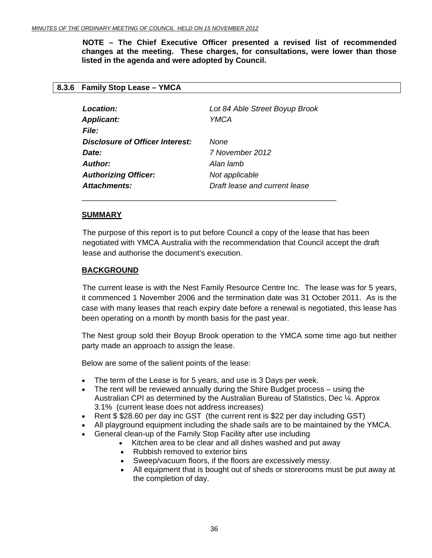<span id="page-35-0"></span> **NOTE – The Chief Executive Officer presented a revised list of recommended changes at the meeting. These charges, for consultations, were lower than those listed in the agenda and were adopted by Council.** 

#### **8.3.6 Family Stop Lease – YMCA**

| Location:<br><b>Applicant:</b><br><b>File:</b> | Lot 84 Able Street Boyup Brook<br>YMCA |
|------------------------------------------------|----------------------------------------|
| Disclosure of Officer Interest:                | None                                   |
| Date:                                          | 7 November 2012                        |
| Author:                                        | Alan lamb                              |
| <b>Authorizing Officer:</b>                    | Not applicable                         |
| Attachments:                                   | Draft lease and current lease          |

\_\_\_\_\_\_\_\_\_\_\_\_\_\_\_\_\_\_\_\_\_\_\_\_\_\_\_\_\_\_\_\_\_\_\_\_\_\_\_\_\_\_\_\_\_\_\_\_\_\_\_\_\_\_\_\_\_\_\_

#### **SUMMARY**

The purpose of this report is to put before Council a copy of the lease that has been negotiated with YMCA Australia with the recommendation that Council accept the draft lease and authorise the document's execution.

#### **BACKGROUND**

 The current lease is with the Nest Family Resource Centre Inc. The lease was for 5 years, it commenced 1 November 2006 and the termination date was 31 October 2011. As is the case with many leases that reach expiry date before a renewal is negotiated, this lease has been operating on a month by month basis for the past year.

The Nest group sold their Boyup Brook operation to the YMCA some time ago but neither party made an approach to assign the lease.

Below are some of the salient points of the lease:

- The term of the Lease is for 5 years, and use is 3 Days per week.
- The rent will be reviewed annually during the Shire Budget process using the Australian CPI as determined by the Australian Bureau of Statistics, Dec ¼. Approx 3.1% (current lease does not address increases)
- Rent \$ \$28.60 per day inc GST (the current rent is \$22 per day including GST)
- All playground equipment including the shade sails are to be maintained by the YMCA.
- General clean-up of the Family Stop Facility after use including
	- Kitchen area to be clear and all dishes washed and put away
	- Rubbish removed to exterior bins
	- Sweep/vacuum floors, if the floors are excessively messy.
	- All equipment that is bought out of sheds or storerooms must be put away at the completion of day.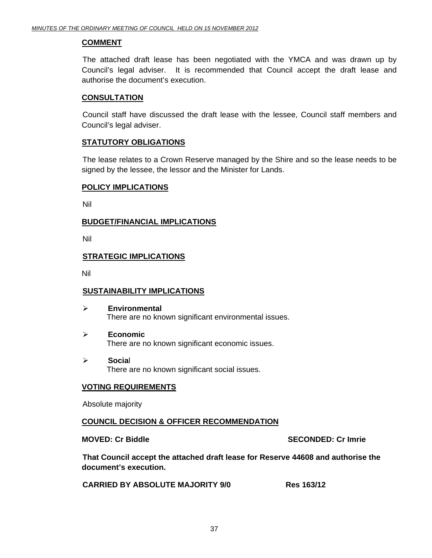#### **COMMENT**

 The attached draft lease has been negotiated with the YMCA and was drawn up by Council's legal adviser. It is recommended that Council accept the draft lease and authorise the document's execution.

#### **CONSULTATION**

 Council staff have discussed the draft lease with the lessee, Council staff members and Council's legal adviser.

#### **STATUTORY OBLIGATIONS**

 The lease relates to a Crown Reserve managed by the Shire and so the lease needs to be signed by the lessee, the lessor and the Minister for Lands.

#### **POLICY IMPLICATIONS**

Nil

#### **BUDGET/FINANCIAL IMPLICATIONS**

Nil

#### **STRATEGIC IMPLICATIONS**

Nil

#### **SUSTAINABILITY IMPLICATIONS**

- ¾ **Environmental**  There are no known significant environmental issues.
- ¾ **Economic**  There are no known significant economic issues.
- ¾ **Socia**l There are no known significant social issues.

#### **VOTING REQUIREMENTS**

Absolute majority

#### **COUNCIL DECISION & OFFICER RECOMMENDATION**

**MOVED: Cr Biddle SECONDED: Cr Imrie** 

**That Council accept the attached draft lease for Reserve 44608 and authorise the document's execution.** 

**CARRIED BY ABSOLUTE MAJORITY 9/0 Res 163/12**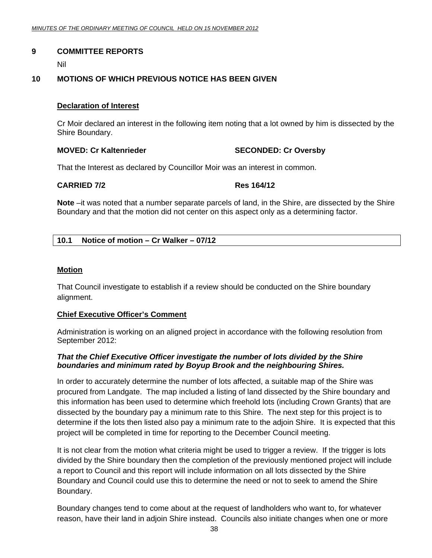#### <span id="page-37-0"></span>**9 COMMITTEE REPORTS**

Nil

#### **10 MOTIONS OF WHICH PREVIOUS NOTICE HAS BEEN GIVEN**

#### **Declaration of Interest**

Cr Moir declared an interest in the following item noting that a lot owned by him is dissected by the Shire Boundary.

#### **MOVED: Cr Kaltenrieder SECONDED: Cr Oversby**

That the Interest as declared by Councillor Moir was an interest in common.

#### **CARRIED 7/2 Res 164/12**

**Note** –it was noted that a number separate parcels of land, in the Shire, are dissected by the Shire Boundary and that the motion did not center on this aspect only as a determining factor.

#### **10.1 Notice of motion – Cr Walker – 07/12**

#### **Motion**

That Council investigate to establish if a review should be conducted on the Shire boundary alignment.

#### **Chief Executive Officer's Comment**

Administration is working on an aligned project in accordance with the following resolution from September 2012:

#### *That the Chief Executive Officer investigate the number of lots divided by the Shire boundaries and minimum rated by Boyup Brook and the neighbouring Shires.*

In order to accurately determine the number of lots affected, a suitable map of the Shire was procured from Landgate. The map included a listing of land dissected by the Shire boundary and this information has been used to determine which freehold lots (including Crown Grants) that are dissected by the boundary pay a minimum rate to this Shire. The next step for this project is to determine if the lots then listed also pay a minimum rate to the adjoin Shire. It is expected that this project will be completed in time for reporting to the December Council meeting.

It is not clear from the motion what criteria might be used to trigger a review. If the trigger is lots divided by the Shire boundary then the completion of the previously mentioned project will include a report to Council and this report will include information on all lots dissected by the Shire Boundary and Council could use this to determine the need or not to seek to amend the Shire Boundary.

Boundary changes tend to come about at the request of landholders who want to, for whatever reason, have their land in adjoin Shire instead. Councils also initiate changes when one or more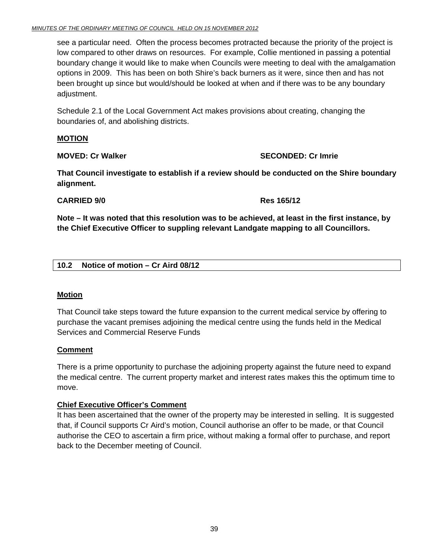<span id="page-38-0"></span>see a particular need. Often the process becomes protracted because the priority of the project is low compared to other draws on resources. For example, Collie mentioned in passing a potential boundary change it would like to make when Councils were meeting to deal with the amalgamation options in 2009. This has been on both Shire's back burners as it were, since then and has not been brought up since but would/should be looked at when and if there was to be any boundary adjustment.

Schedule 2.1 of the Local Government Act makes provisions about creating, changing the boundaries of, and abolishing districts.

#### **MOTION**

#### **MOVED: Cr Walker SECONDED: Cr Imrie 2018**

**That Council investigate to establish if a review should be conducted on the Shire boundary alignment.** 

#### **CARRIED 9/0 Res 165/12**

**Note – It was noted that this resolution was to be achieved, at least in the first instance, by the Chief Executive Officer to suppling relevant Landgate mapping to all Councillors.** 

#### **10.2 Notice of motion – Cr Aird 08/12**

#### **Motion**

That Council take steps toward the future expansion to the current medical service by offering to purchase the vacant premises adjoining the medical centre using the funds held in the Medical Services and Commercial Reserve Funds

#### **Comment**

There is a prime opportunity to purchase the adjoining property against the future need to expand the medical centre. The current property market and interest rates makes this the optimum time to move.

#### **Chief Executive Officer's Comment**

It has been ascertained that the owner of the property may be interested in selling. It is suggested that, if Council supports Cr Aird's motion, Council authorise an offer to be made, or that Council authorise the CEO to ascertain a firm price, without making a formal offer to purchase, and report back to the December meeting of Council.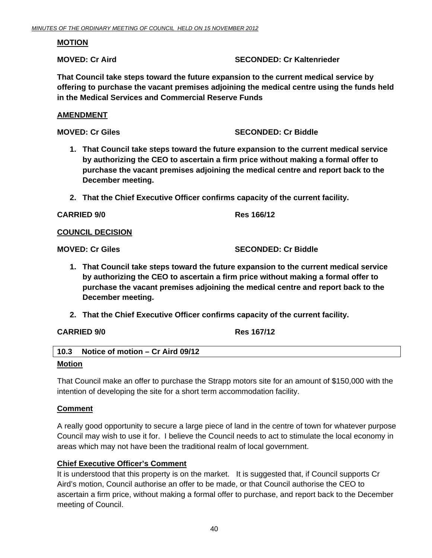#### <span id="page-39-0"></span>**MOTION**

#### **MOVED: Cr Aird SECONDED: Cr Kaltenrieder**  SECONDED: Cr Kaltenrieder

**That Council take steps toward the future expansion to the current medical service by offering to purchase the vacant premises adjoining the medical centre using the funds held in the Medical Services and Commercial Reserve Funds** 

#### **AMENDMENT**

#### **MOVED: Cr Giles SECONDED: Cr Biddle**

- **1. That Council take steps toward the future expansion to the current medical service by authorizing the CEO to ascertain a firm price without making a formal offer to purchase the vacant premises adjoining the medical centre and report back to the December meeting.**
- **2. That the Chief Executive Officer confirms capacity of the current facility.**

**CARRIED 9/0 Res 166/12** 

#### **COUNCIL DECISION**

**MOVED: Cr Giles SECONDED: Cr Biddle** 

- **1. That Council take steps toward the future expansion to the current medical service by authorizing the CEO to ascertain a firm price without making a formal offer to purchase the vacant premises adjoining the medical centre and report back to the December meeting.**
- **2. That the Chief Executive Officer confirms capacity of the current facility.**

#### **CARRIED 9/0 Res 167/12**

| 10.3 | Notice of motion – Cr Aird 09/12 |
|------|----------------------------------|
|      |                                  |

#### **Motion**

That Council make an offer to purchase the Strapp motors site for an amount of \$150,000 with the intention of developing the site for a short term accommodation facility.

#### **Comment**

A really good opportunity to secure a large piece of land in the centre of town for whatever purpose Council may wish to use it for. I believe the Council needs to act to stimulate the local economy in areas which may not have been the traditional realm of local government.

#### **Chief Executive Officer's Comment**

It is understood that this property is on the market. It is suggested that, if Council supports Cr Aird's motion, Council authorise an offer to be made, or that Council authorise the CEO to ascertain a firm price, without making a formal offer to purchase, and report back to the December meeting of Council.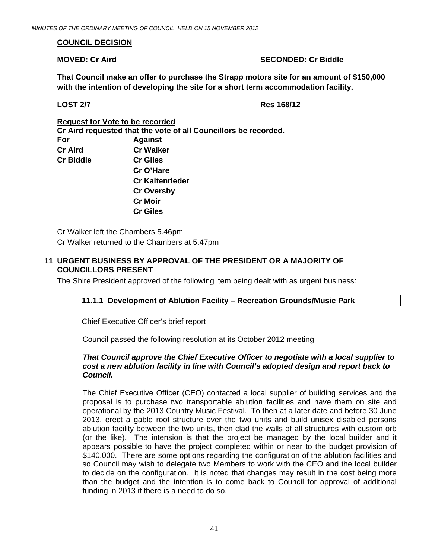#### <span id="page-40-0"></span>**COUNCIL DECISION**

#### **MOVED: Cr Aird SECONDED: Cr Biddle**

**That Council make an offer to purchase the Strapp motors site for an amount of \$150,000 with the intention of developing the site for a short term accommodation facility.** 

**LOST 2/7 Res 168/12** 

**Request for Vote to be recorded**

 **Cr Aird requested that the vote of all Councillors be recorded. For Against Cr Aird Cr Walker Cr Biddle Cr Giles Cr O'Hare Cr Kaltenrieder Cr Oversby Cr Moir Cr Giles** 

Cr Walker left the Chambers 5.46pm Cr Walker returned to the Chambers at 5.47pm

#### **11 URGENT BUSINESS BY APPROVAL OF THE PRESIDENT OR A MAJORITY OF COUNCILLORS PRESENT**

The Shire President approved of the following item being dealt with as urgent business:

#### **11.1.1 Development of Ablution Facility – Recreation Grounds/Music Park**

Chief Executive Officer's brief report

Council passed the following resolution at its October 2012 meeting

#### *That Council approve the Chief Executive Officer to negotiate with a local supplier to cost a new ablution facility in line with Council's adopted design and report back to Council.*

The Chief Executive Officer (CEO) contacted a local supplier of building services and the proposal is to purchase two transportable ablution facilities and have them on site and operational by the 2013 Country Music Festival. To then at a later date and before 30 June 2013, erect a gable roof structure over the two units and build unisex disabled persons ablution facility between the two units, then clad the walls of all structures with custom orb (or the like). The intension is that the project be managed by the local builder and it appears possible to have the project completed within or near to the budget provision of \$140,000. There are some options regarding the configuration of the ablution facilities and so Council may wish to delegate two Members to work with the CEO and the local builder to decide on the configuration. It is noted that changes may result in the cost being more than the budget and the intention is to come back to Council for approval of additional funding in 2013 if there is a need to do so.